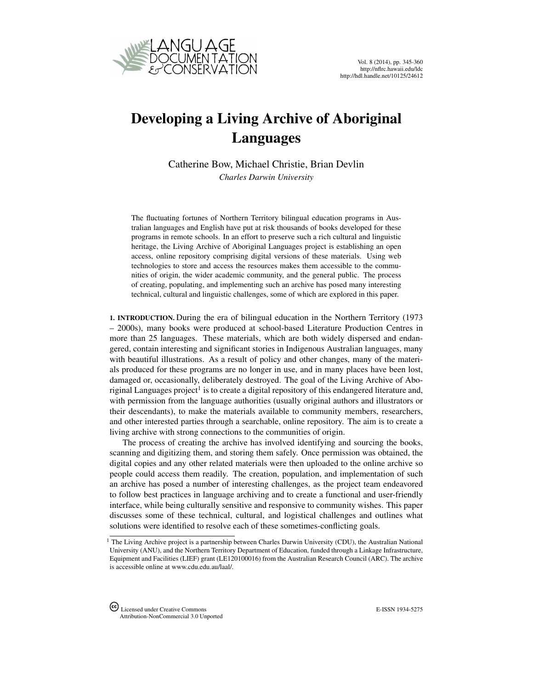<span id="page-0-0"></span>

## Developing a Living Archive of Aboriginal Languages

Catherine Bow, Michael Christie, Brian Devlin *Charles Darwin University*

The fluctuating fortunes of Northern Territory bilingual education programs in Australian languages and English have put at risk thousands of books developed for these programs in remote schools. In an effort to preserve such a rich cultural and linguistic heritage, the Living Archive of Aboriginal Languages project is establishing an open access, online repository comprising digital versions of these materials. Using web technologies to store and access the resources makes them accessible to the communities of origin, the wider academic community, and the general public. The process of creating, populating, and implementing such an archive has posed many interesting technical, cultural and linguistic challenges, some of which are explored in this paper.

1. INTRODUCTION. During the era of bilingual education in the Northern Territory (1973 – 2000s), many books were produced at school-based Literature Production Centres in more than 25 languages. These materials, which are both widely dispersed and endangered, contain interesting and significant stories in Indigenous Australian languages, many with beautiful illustrations. As a result of policy and other changes, many of the materials produced for these programs are no longer in use, and in many places have been lost, damaged or, occasionally, deliberately destroyed. The goal of the Living Archive of Aboriginal Languages project $^{\rm l}$  is to create a digital repository of this endangered literature and, with permission from the language authorities (usually original authors and illustrators or their descendants), to make the materials available to community members, researchers, and other interested parties through a searchable, online repository. The aim is to create a living archive with strong connections to the communities of origin.

The process of creating the archive has involved identifying and sourcing the books, scanning and digitizing them, and storing them safely. Once permission was obtained, the digital copies and any other related materials were then uploaded to the online archive so people could access them readily. The creation, population, and implementation of such an archive has posed a number of interesting challenges, as the project team endeavored to follow best practices in language archiving and to create a functional and user-friendly interface, while being culturally sensitive and responsive to community wishes. This paper discusses some of these technical, cultural, and logistical challenges and outlines what solutions were identified to resolve each of these sometimes-conflicting goals.

<sup>&</sup>lt;sup>1</sup> The Living Archive project is a partnership between Charles Darwin University (CDU), the Australian National University (ANU), and the Northern Territory Department of Education, funded through a Linkage Infrastructure, Equipment and Facilities (LIEF) grant (LE120100016) from the Australian Research Council (ARC). The archive is accessible online at www.cdu.edu.au/laal/.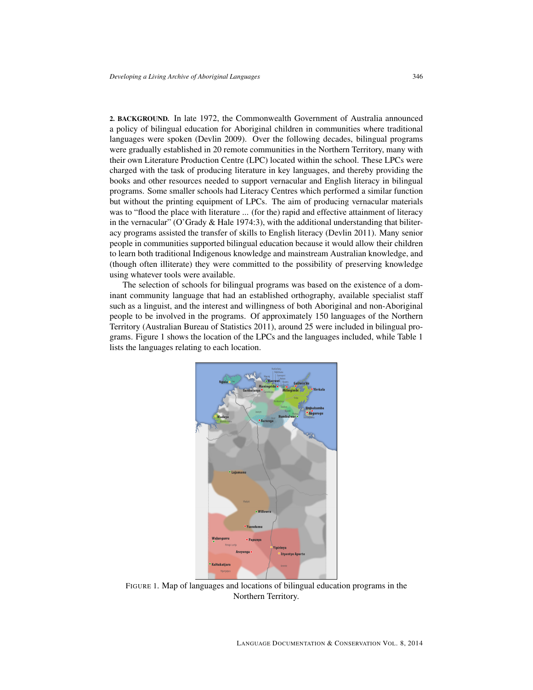2. BACKGROUND. In late 1972, the Commonwealth Government of Australia announced a policy of bilingual education for Aboriginal children in communities where traditional languages were spoken (Devlin 2009). Over the following decades, bilingual programs were gradually established in 20 remote communities in the Northern Territory, many with their own Literature Production Centre (LPC) located within the school. These LPCs were charged with the task of producing literature in key languages, and thereby providing the books and other resources needed to support vernacular and English literacy in bilingual programs. Some smaller schools had Literacy Centres which performed a similar function but without the printing equipment of LPCs. The aim of producing vernacular materials was to "flood the place with literature ... (for the) rapid and effective attainment of literacy in the vernacular" (O'Grady  $\&$  Hale 1974:3), with the additional understanding that biliteracy programs assisted the transfer of skills to English literacy (Devlin 2011). Many senior people in communities supported bilingual education because it would allow their children to learn both traditional Indigenous knowledge and mainstream Australian knowledge, and (though often illiterate) they were committed to the possibility of preserving knowledge using whatever tools were available.

The selection of schools for bilingual programs was based on the existence of a dominant community language that had an established orthography, available specialist staff such as a linguist, and the interest and willingness of both Aboriginal and non-Aboriginal people to be involved in the programs. Of approximately 150 languages of the Northern Territory (Australian Bureau of Statistics 2011), around 25 were included in bilingual programs. Figure 1 shows the location of the LPCs and the languages included, while Table 1 lists the languages relating to each location.



FIGURE 1. Map of languages and locations of bilingual education programs in the Northern Territory.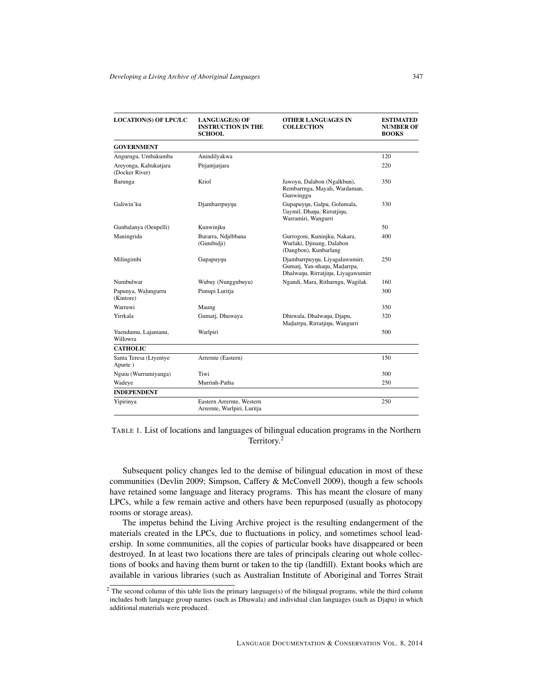| <b>LOCATION(S) OF LPC/LC</b>             | <b>LANGUAGE(S) OF</b><br><b>INSTRUCTION IN THE</b><br><b>SCHOOL</b> | <b>OTHER LANGUAGES IN</b><br><b>COLLECTION</b>                                                       | <b>ESTIMATED</b><br><b>NUMBER OF</b><br><b>BOOKS</b> |
|------------------------------------------|---------------------------------------------------------------------|------------------------------------------------------------------------------------------------------|------------------------------------------------------|
| <b>GOVERNMENT</b>                        |                                                                     |                                                                                                      |                                                      |
| Angurugu, Umbakumba                      | Anindilyakwa                                                        |                                                                                                      | 120                                                  |
| Areyonga, Kaltukatjara<br>(Docker River) | Pitjantjatjara                                                      |                                                                                                      | 220                                                  |
| Barunga                                  | Kriol                                                               | Jawoyn, Dalabon (Ngalkbun),<br>Rembarrnga, Mayali, Wardaman,<br>Gunwinggu                            | 350                                                  |
| Galiwin'ku                               | Djambarrpuynu                                                       | Gupapuynu, Galpu, Golumala,<br>Daymil, Dhanu, Rirratjinu,<br>Warramiri, Wangurri                     | 330                                                  |
| Gunbalanya (Oenpelli)                    | Kunwinjku                                                           |                                                                                                      | 50                                                   |
| Maningrida                               | Burarra, Ndjébbana<br>(Gunibidji)                                   | Gurrogoni, Kuninjku, Nakara,<br>Wurlaki, Djinang, Dalabon<br>(Dangbon), Kunbarlang                   | 400                                                  |
| Milingimbi                               | Gupapuynu                                                           | Djambarrpuynu, Liyagalawumirr,<br>Gumatj, Yan-nhanu, Madarrpa,<br>Dhalwanu, Rirratjinu, Liyagawumirr | 250                                                  |
| Numbulwar                                | Wubuy (Nunggubuyu)                                                  | Ngandi, Mara, Ritharngu, Wagilak                                                                     | 160                                                  |
| Papunya, Walungurru<br>(Kintore)         | Pintupi Luritja                                                     |                                                                                                      | 300                                                  |
| Warruwi                                  | Maung                                                               |                                                                                                      | 350                                                  |
| Yirrkala                                 | Gumatj, Dhuwaya                                                     | Dhuwala, Dhalwanu, Djapu,<br>Madarrpa, Rirratjinu, Wangurri                                          | 320                                                  |
| Yuendumu, Lajamanu,<br>Willowra          | Warlpiri                                                            |                                                                                                      | 500                                                  |
| <b>CATHOLIC</b>                          |                                                                     |                                                                                                      |                                                      |
| Santa Teresa (Ltyentye<br>Apurte)        | Arremte (Eastern)                                                   |                                                                                                      | 150                                                  |
| Nguiu (Wurrumiyanga)                     | Tiwi                                                                |                                                                                                      | 300                                                  |
| Wadeye                                   | Murrinh-Patha                                                       |                                                                                                      | 250                                                  |
| <b>INDEPENDENT</b>                       |                                                                     |                                                                                                      |                                                      |
| Yipirinya                                | Eastern Arrernte, Western<br>Arrernte, Warlpiri, Luritja            |                                                                                                      | 250                                                  |

TABLE 1. List of locations and languages of bilingual education programs in the Northern Territory.<sup>[2](#page-0-0)</sup>

Subsequent policy changes led to the demise of bilingual education in most of these communities (Devlin 2009; Simpson, Caffery & McConvell 2009), though a few schools have retained some language and literacy programs. This has meant the closure of many LPCs, while a few remain active and others have been repurposed (usually as photocopy rooms or storage areas).

The impetus behind the Living Archive project is the resulting endangerment of the materials created in the LPCs, due to fluctuations in policy, and sometimes school leadership. In some communities, all the copies of particular books have disappeared or been destroyed. In at least two locations there are tales of principals clearing out whole collections of books and having them burnt or taken to the tip (landfill). Extant books which are available in various libraries (such as Australian Institute of Aboriginal and Torres Strait

 $2$  The second column of this table lists the primary language(s) of the bilingual programs, while the third column includes both language group names (such as Dhuwala) and individual clan languages (such as Djapu) in which additional materials were produced.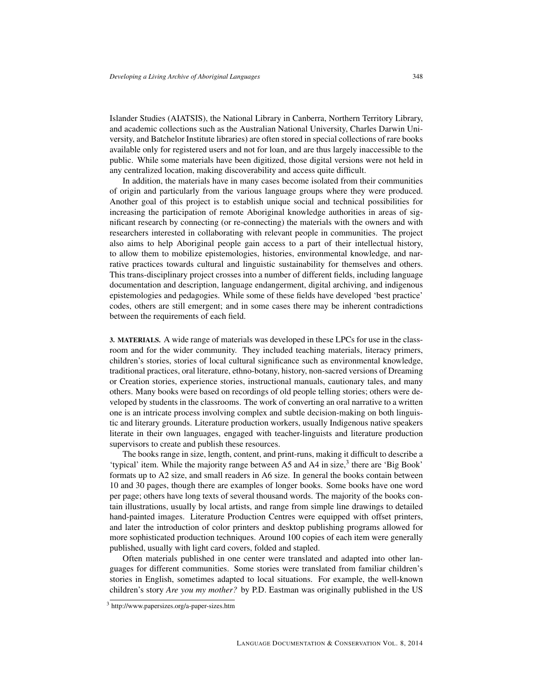Islander Studies (AIATSIS), the National Library in Canberra, Northern Territory Library, and academic collections such as the Australian National University, Charles Darwin University, and Batchelor Institute libraries) are often stored in special collections of rare books available only for registered users and not for loan, and are thus largely inaccessible to the public. While some materials have been digitized, those digital versions were not held in any centralized location, making discoverability and access quite difficult.

In addition, the materials have in many cases become isolated from their communities of origin and particularly from the various language groups where they were produced. Another goal of this project is to establish unique social and technical possibilities for increasing the participation of remote Aboriginal knowledge authorities in areas of significant research by connecting (or re-connecting) the materials with the owners and with researchers interested in collaborating with relevant people in communities. The project also aims to help Aboriginal people gain access to a part of their intellectual history, to allow them to mobilize epistemologies, histories, environmental knowledge, and narrative practices towards cultural and linguistic sustainability for themselves and others. This trans-disciplinary project crosses into a number of different fields, including language documentation and description, language endangerment, digital archiving, and indigenous epistemologies and pedagogies. While some of these fields have developed 'best practice' codes, others are still emergent; and in some cases there may be inherent contradictions between the requirements of each field.

3. MATERIALS. A wide range of materials was developed in these LPCs for use in the classroom and for the wider community. They included teaching materials, literacy primers, children's stories, stories of local cultural significance such as environmental knowledge, traditional practices, oral literature, ethno-botany, history, non-sacred versions of Dreaming or Creation stories, experience stories, instructional manuals, cautionary tales, and many others. Many books were based on recordings of old people telling stories; others were developed by students in the classrooms. The work of converting an oral narrative to a written one is an intricate process involving complex and subtle decision-making on both linguistic and literary grounds. Literature production workers, usually Indigenous native speakers literate in their own languages, engaged with teacher-linguists and literature production supervisors to create and publish these resources.

The books range in size, length, content, and print-runs, making it difficult to describe a 'typical' item. While the majority range between A5 and A4 in size, $3$  there are 'Big Book' formats up to A2 size, and small readers in A6 size. In general the books contain between 10 and 30 pages, though there are examples of longer books. Some books have one word per page; others have long texts of several thousand words. The majority of the books contain illustrations, usually by local artists, and range from simple line drawings to detailed hand-painted images. Literature Production Centres were equipped with offset printers, and later the introduction of color printers and desktop publishing programs allowed for more sophisticated production techniques. Around 100 copies of each item were generally published, usually with light card covers, folded and stapled.

Often materials published in one center were translated and adapted into other languages for different communities. Some stories were translated from familiar children's stories in English, sometimes adapted to local situations. For example, the well-known children's story *Are you my mother?* by P.D. Eastman was originally published in the US

<sup>3</sup> <http://www.papersizes.org/a-paper-sizes.htm>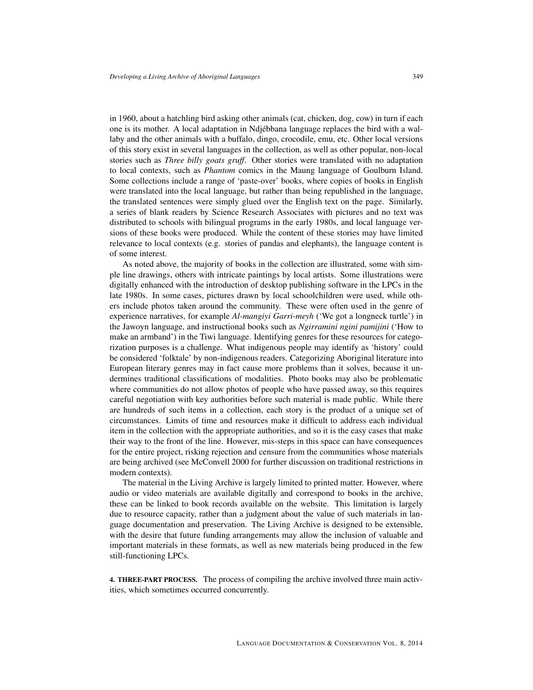in 1960, about a hatchling bird asking other animals (cat, chicken, dog, cow) in turn if each one is its mother. A local adaptation in Ndjébbana language replaces the bird with a wallaby and the other animals with a buffalo, dingo, crocodile, emu, etc. Other local versions of this story exist in several languages in the collection, as well as other popular, non-local stories such as *Three billy goats gruff*. Other stories were translated with no adaptation to local contexts, such as *Phantom* comics in the Maung language of Goulburn Island. Some collections include a range of 'paste-over' books, where copies of books in English were translated into the local language, but rather than being republished in the language, the translated sentences were simply glued over the English text on the page. Similarly, a series of blank readers by Science Research Associates with pictures and no text was distributed to schools with bilingual programs in the early 1980s, and local language versions of these books were produced. While the content of these stories may have limited relevance to local contexts (e.g. stories of pandas and elephants), the language content is of some interest.

As noted above, the majority of books in the collection are illustrated, some with simple line drawings, others with intricate paintings by local artists. Some illustrations were digitally enhanced with the introduction of desktop publishing software in the LPCs in the late 1980s. In some cases, pictures drawn by local schoolchildren were used, while others include photos taken around the community. These were often used in the genre of experience narratives, for example *Al-mangiyi Garri-meyh* ('We got a longneck turtle') in the Jawoyn language, and instructional books such as *Ngirramini ngini pamijini* ('How to make an armband') in the Tiwi language. Identifying genres for these resources for categorization purposes is a challenge. What indigenous people may identify as 'history' could be considered 'folktale' by non-indigenous readers. Categorizing Aboriginal literature into European literary genres may in fact cause more problems than it solves, because it undermines traditional classifications of modalities. Photo books may also be problematic where communities do not allow photos of people who have passed away, so this requires careful negotiation with key authorities before such material is made public. While there are hundreds of such items in a collection, each story is the product of a unique set of circumstances. Limits of time and resources make it difficult to address each individual item in the collection with the appropriate authorities, and so it is the easy cases that make their way to the front of the line. However, mis-steps in this space can have consequences for the entire project, risking rejection and censure from the communities whose materials are being archived (see McConvell 2000 for further discussion on traditional restrictions in modern contexts).

The material in the Living Archive is largely limited to printed matter. However, where audio or video materials are available digitally and correspond to books in the archive, these can be linked to book records available on the website. This limitation is largely due to resource capacity, rather than a judgment about the value of such materials in language documentation and preservation. The Living Archive is designed to be extensible, with the desire that future funding arrangements may allow the inclusion of valuable and important materials in these formats, as well as new materials being produced in the few still-functioning LPCs.

4. THREE-PART PROCESS. The process of compiling the archive involved three main activities, which sometimes occurred concurrently.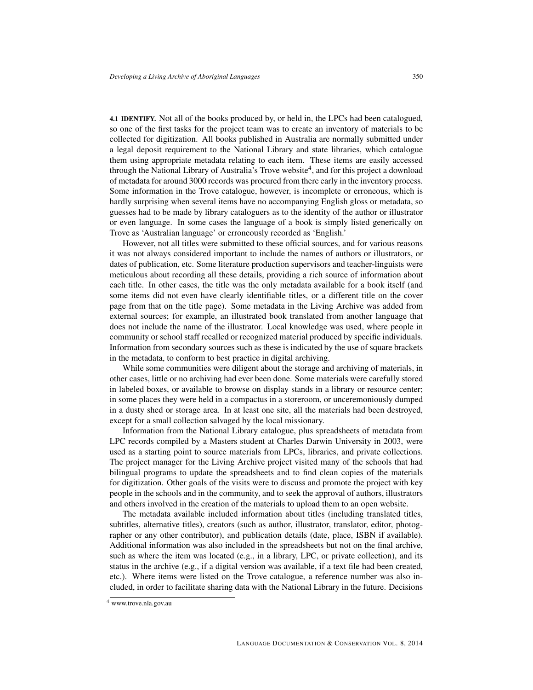4.1 IDENTIFY. Not all of the books produced by, or held in, the LPCs had been catalogued, so one of the first tasks for the project team was to create an inventory of materials to be collected for digitization. All books published in Australia are normally submitted under a legal deposit requirement to the National Library and state libraries, which catalogue them using appropriate metadata relating to each item. These items are easily accessed through the National Library of Australia's Trove website<sup>[4](#page-0-0)</sup>, and for this project a download of metadata for around 3000 records was procured from there early in the inventory process. Some information in the Trove catalogue, however, is incomplete or erroneous, which is hardly surprising when several items have no accompanying English gloss or metadata, so guesses had to be made by library cataloguers as to the identity of the author or illustrator or even language. In some cases the language of a book is simply listed generically on Trove as 'Australian language' or erroneously recorded as 'English.'

However, not all titles were submitted to these official sources, and for various reasons it was not always considered important to include the names of authors or illustrators, or dates of publication, etc. Some literature production supervisors and teacher-linguists were meticulous about recording all these details, providing a rich source of information about each title. In other cases, the title was the only metadata available for a book itself (and some items did not even have clearly identifiable titles, or a different title on the cover page from that on the title page). Some metadata in the Living Archive was added from external sources; for example, an illustrated book translated from another language that does not include the name of the illustrator. Local knowledge was used, where people in community or school staff recalled or recognized material produced by specific individuals. Information from secondary sources such as these is indicated by the use of square brackets in the metadata, to conform to best practice in digital archiving.

While some communities were diligent about the storage and archiving of materials, in other cases, little or no archiving had ever been done. Some materials were carefully stored in labeled boxes, or available to browse on display stands in a library or resource center; in some places they were held in a compactus in a storeroom, or unceremoniously dumped in a dusty shed or storage area. In at least one site, all the materials had been destroyed, except for a small collection salvaged by the local missionary.

Information from the National Library catalogue, plus spreadsheets of metadata from LPC records compiled by a Masters student at Charles Darwin University in 2003, were used as a starting point to source materials from LPCs, libraries, and private collections. The project manager for the Living Archive project visited many of the schools that had bilingual programs to update the spreadsheets and to find clean copies of the materials for digitization. Other goals of the visits were to discuss and promote the project with key people in the schools and in the community, and to seek the approval of authors, illustrators and others involved in the creation of the materials to upload them to an open website.

The metadata available included information about titles (including translated titles, subtitles, alternative titles), creators (such as author, illustrator, translator, editor, photographer or any other contributor), and publication details (date, place, ISBN if available). Additional information was also included in the spreadsheets but not on the final archive, such as where the item was located (e.g., in a library, LPC, or private collection), and its status in the archive (e.g., if a digital version was available, if a text file had been created, etc.). Where items were listed on the Trove catalogue, a reference number was also included, in order to facilitate sharing data with the National Library in the future. Decisions

<sup>4</sup> [www.trove.nla.gov.au](http://hdl.handle.net/10125/24612www.trove.nla.gov.au)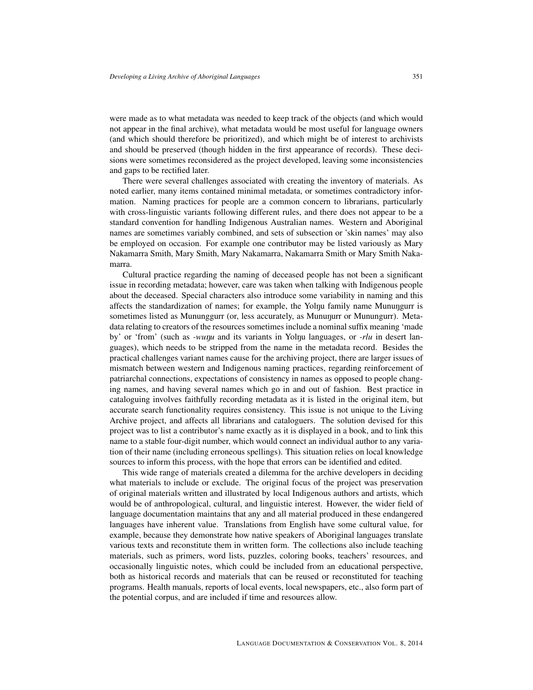were made as to what metadata was needed to keep track of the objects (and which would not appear in the final archive), what metadata would be most useful for language owners (and which should therefore be prioritized), and which might be of interest to archivists and should be preserved (though hidden in the first appearance of records). These decisions were sometimes reconsidered as the project developed, leaving some inconsistencies and gaps to be rectified later.

There were several challenges associated with creating the inventory of materials. As noted earlier, many items contained minimal metadata, or sometimes contradictory information. Naming practices for people are a common concern to librarians, particularly with cross-linguistic variants following different rules, and there does not appear to be a standard convention for handling Indigenous Australian names. Western and Aboriginal names are sometimes variably combined, and sets of subsection or 'skin names' may also be employed on occasion. For example one contributor may be listed variously as Mary Nakamarra Smith, Mary Smith, Mary Nakamarra, Nakamarra Smith or Mary Smith Nakamarra.

Cultural practice regarding the naming of deceased people has not been a significant issue in recording metadata; however, care was taken when talking with Indigenous people about the deceased. Special characters also introduce some variability in naming and this affects the standardization of names; for example, the Yolnu family name Munungurr is sometimes listed as Mununggurr (or, less accurately, as Mununurr or Munungurr). Metadata relating to creators of the resources sometimes include a nominal suffix meaning 'made by' or 'from' (such as *-wunu* and its variants in Yolnu languages, or *-rlu* in desert languages), which needs to be stripped from the name in the metadata record. Besides the practical challenges variant names cause for the archiving project, there are larger issues of mismatch between western and Indigenous naming practices, regarding reinforcement of patriarchal connections, expectations of consistency in names as opposed to people changing names, and having several names which go in and out of fashion. Best practice in cataloguing involves faithfully recording metadata as it is listed in the original item, but accurate search functionality requires consistency. This issue is not unique to the Living Archive project, and affects all librarians and cataloguers. The solution devised for this project was to list a contributor's name exactly as it is displayed in a book, and to link this name to a stable four-digit number, which would connect an individual author to any variation of their name (including erroneous spellings). This situation relies on local knowledge sources to inform this process, with the hope that errors can be identified and edited.

This wide range of materials created a dilemma for the archive developers in deciding what materials to include or exclude. The original focus of the project was preservation of original materials written and illustrated by local Indigenous authors and artists, which would be of anthropological, cultural, and linguistic interest. However, the wider field of language documentation maintains that any and all material produced in these endangered languages have inherent value. Translations from English have some cultural value, for example, because they demonstrate how native speakers of Aboriginal languages translate various texts and reconstitute them in written form. The collections also include teaching materials, such as primers, word lists, puzzles, coloring books, teachers' resources, and occasionally linguistic notes, which could be included from an educational perspective, both as historical records and materials that can be reused or reconstituted for teaching programs. Health manuals, reports of local events, local newspapers, etc., also form part of the potential corpus, and are included if time and resources allow.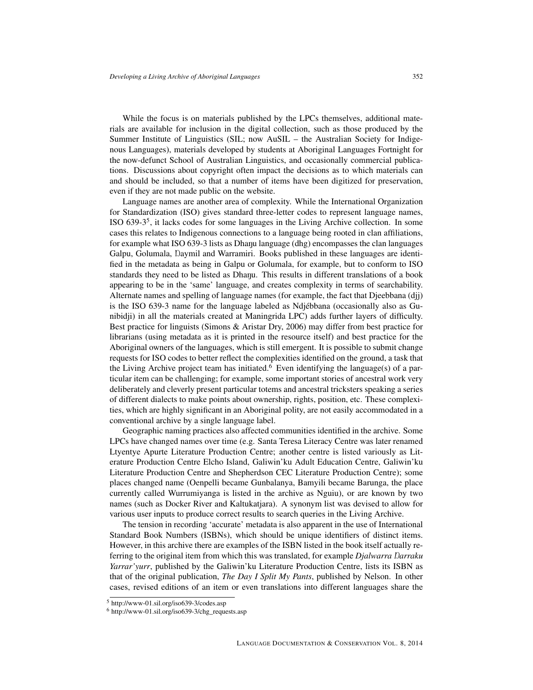While the focus is on materials published by the LPCs themselves, additional materials are available for inclusion in the digital collection, such as those produced by the Summer Institute of Linguistics (SIL; now AuSIL – the Australian Society for Indigenous Languages), materials developed by students at Aboriginal Languages Fortnight for the now-defunct School of Australian Linguistics, and occasionally commercial publications. Discussions about copyright often impact the decisions as to which materials can and should be included, so that a number of items have been digitized for preservation, even if they are not made public on the website.

Language names are another area of complexity. While the International Organization for Standardization (ISO) gives standard three-letter codes to represent language names, ISO 639-3<sup>[5](#page-0-0)</sup>, it lacks codes for some languages in the Living Archive collection. In some cases this relates to Indigenous connections to a language being rooted in clan affiliations, for example what ISO 639-3 lists as Dhanu language  $(dhg)$  encompasses the clan languages Galpu, Golumala, Daymil and Warramiri. Books published in these languages are identified in the metadata as being in Galpu or Golumala, for example, but to conform to ISO standards they need to be listed as Dhanu. This results in different translations of a book appearing to be in the 'same' language, and creates complexity in terms of searchability. Alternate names and spelling of language names (for example, the fact that Djeebbana (djj) is the ISO 639-3 name for the language labeled as Ndjébbana (occasionally also as Gunibidji) in all the materials created at Maningrida LPC) adds further layers of difficulty. Best practice for linguists (Simons & Aristar Dry, 2006) may differ from best practice for librarians (using metadata as it is printed in the resource itself) and best practice for the Aboriginal owners of the languages, which is still emergent. It is possible to submit change requests for ISO codes to better reflect the complexities identified on the ground, a task that the Living Archive project team has initiated.<sup>[6](#page-0-0)</sup> Even identifying the language(s) of a particular item can be challenging; for example, some important stories of ancestral work very deliberately and cleverly present particular totems and ancestral tricksters speaking a series of different dialects to make points about ownership, rights, position, etc. These complexities, which are highly significant in an Aboriginal polity, are not easily accommodated in a conventional archive by a single language label.

Geographic naming practices also affected communities identified in the archive. Some LPCs have changed names over time (e.g. Santa Teresa Literacy Centre was later renamed Ltyentye Apurte Literature Production Centre; another centre is listed variously as Literature Production Centre Elcho Island, Galiwin'ku Adult Education Centre, Galiwin'ku Literature Production Centre and Shepherdson CEC Literature Production Centre); some places changed name (Oenpelli became Gunbalanya, Bamyili became Barunga, the place currently called Wurrumiyanga is listed in the archive as Nguiu), or are known by two names (such as Docker River and Kaltukatjara). A synonym list was devised to allow for various user inputs to produce correct results to search queries in the Living Archive.

The tension in recording 'accurate' metadata is also apparent in the use of International Standard Book Numbers (ISBNs), which should be unique identifiers of distinct items. However, in this archive there are examples of the ISBN listed in the book itself actually referring to the original item from which this was translated, for example *Djalwarra Ŋarraku Yarrar'yurr*, published by the Galiwin'ku Literature Production Centre, lists its ISBN as that of the original publication, *The Day I Split My Pants*, published by Nelson. In other cases, revised editions of an item or even translations into different languages share the

<sup>5</sup> <http://www-01.sil.org/iso639-3/codes.asp>

<sup>6</sup> [http://www-01.sil.org/iso639-3/chg\\_requests.asp](http://www-01.sil.org/iso639-3/chg_requests.asp)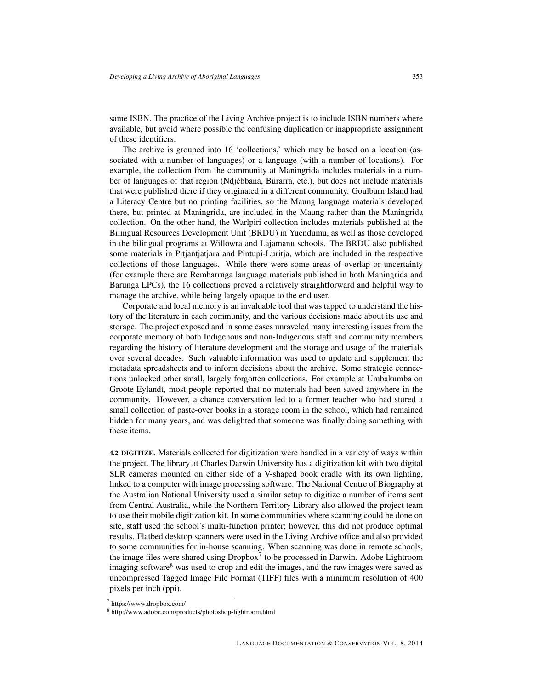same ISBN. The practice of the Living Archive project is to include ISBN numbers where available, but avoid where possible the confusing duplication or inappropriate assignment of these identifiers.

The archive is grouped into 16 'collections,' which may be based on a location (associated with a number of languages) or a language (with a number of locations). For example, the collection from the community at Maningrida includes materials in a number of languages of that region (Ndjébbana, Burarra, etc.), but does not include materials that were published there if they originated in a different community. Goulburn Island had a Literacy Centre but no printing facilities, so the Maung language materials developed there, but printed at Maningrida, are included in the Maung rather than the Maningrida collection. On the other hand, the Warlpiri collection includes materials published at the Bilingual Resources Development Unit (BRDU) in Yuendumu, as well as those developed in the bilingual programs at Willowra and Lajamanu schools. The BRDU also published some materials in Pitjantjatjara and Pintupi-Luritja, which are included in the respective collections of those languages. While there were some areas of overlap or uncertainty (for example there are Rembarrnga language materials published in both Maningrida and Barunga LPCs), the 16 collections proved a relatively straightforward and helpful way to manage the archive, while being largely opaque to the end user.

Corporate and local memory is an invaluable tool that was tapped to understand the history of the literature in each community, and the various decisions made about its use and storage. The project exposed and in some cases unraveled many interesting issues from the corporate memory of both Indigenous and non-Indigenous staff and community members regarding the history of literature development and the storage and usage of the materials over several decades. Such valuable information was used to update and supplement the metadata spreadsheets and to inform decisions about the archive. Some strategic connections unlocked other small, largely forgotten collections. For example at Umbakumba on Groote Eylandt, most people reported that no materials had been saved anywhere in the community. However, a chance conversation led to a former teacher who had stored a small collection of paste-over books in a storage room in the school, which had remained hidden for many years, and was delighted that someone was finally doing something with these items.

4.2 DIGITIZE. Materials collected for digitization were handled in a variety of ways within the project. The library at Charles Darwin University has a digitization kit with two digital SLR cameras mounted on either side of a V-shaped book cradle with its own lighting, linked to a computer with image processing software. The National Centre of Biography at the Australian National University used a similar setup to digitize a number of items sent from Central Australia, while the Northern Territory Library also allowed the project team to use their mobile digitization kit. In some communities where scanning could be done on site, staff used the school's multi-function printer; however, this did not produce optimal results. Flatbed desktop scanners were used in the Living Archive office and also provided to some communities for in-house scanning. When scanning was done in remote schools, the image files were shared using  $Dropbox<sup>7</sup>$  $Dropbox<sup>7</sup>$  $Dropbox<sup>7</sup>$  to be processed in Darwin. Adobe Lightroom imaging software<sup>[8](#page-0-0)</sup> was used to crop and edit the images, and the raw images were saved as uncompressed Tagged Image File Format (TIFF) files with a minimum resolution of 400 pixels per inch (ppi).

<sup>7</sup> <https://www.dropbox.com/>

<sup>8</sup> <http://www.adobe.com/products/photoshop-lightroom.html>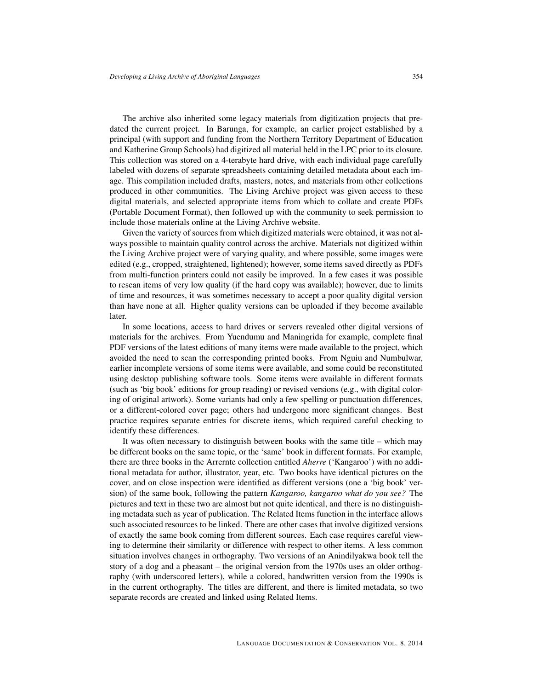The archive also inherited some legacy materials from digitization projects that predated the current project. In Barunga, for example, an earlier project established by a principal (with support and funding from the Northern Territory Department of Education and Katherine Group Schools) had digitized all material held in the LPC prior to its closure. This collection was stored on a 4-terabyte hard drive, with each individual page carefully labeled with dozens of separate spreadsheets containing detailed metadata about each image. This compilation included drafts, masters, notes, and materials from other collections produced in other communities. The Living Archive project was given access to these digital materials, and selected appropriate items from which to collate and create PDFs (Portable Document Format), then followed up with the community to seek permission to include those materials online at the Living Archive website.

Given the variety of sources from which digitized materials were obtained, it was not always possible to maintain quality control across the archive. Materials not digitized within the Living Archive project were of varying quality, and where possible, some images were edited (e.g., cropped, straightened, lightened); however, some items saved directly as PDFs from multi-function printers could not easily be improved. In a few cases it was possible to rescan items of very low quality (if the hard copy was available); however, due to limits of time and resources, it was sometimes necessary to accept a poor quality digital version than have none at all. Higher quality versions can be uploaded if they become available later.

In some locations, access to hard drives or servers revealed other digital versions of materials for the archives. From Yuendumu and Maningrida for example, complete final PDF versions of the latest editions of many items were made available to the project, which avoided the need to scan the corresponding printed books. From Nguiu and Numbulwar, earlier incomplete versions of some items were available, and some could be reconstituted using desktop publishing software tools. Some items were available in different formats (such as 'big book' editions for group reading) or revised versions (e.g., with digital coloring of original artwork). Some variants had only a few spelling or punctuation differences, or a different-colored cover page; others had undergone more significant changes. Best practice requires separate entries for discrete items, which required careful checking to identify these differences.

It was often necessary to distinguish between books with the same title – which may be different books on the same topic, or the 'same' book in different formats. For example, there are three books in the Arrernte collection entitled *Aherre* ('Kangaroo') with no additional metadata for author, illustrator, year, etc. Two books have identical pictures on the cover, and on close inspection were identified as different versions (one a 'big book' version) of the same book, following the pattern *Kangaroo, kangaroo what do you see?* The pictures and text in these two are almost but not quite identical, and there is no distinguishing metadata such as year of publication. The Related Items function in the interface allows such associated resources to be linked. There are other cases that involve digitized versions of exactly the same book coming from different sources. Each case requires careful viewing to determine their similarity or difference with respect to other items. A less common situation involves changes in orthography. Two versions of an Anindilyakwa book tell the story of a dog and a pheasant – the original version from the 1970s uses an older orthography (with underscored letters), while a colored, handwritten version from the 1990s is in the current orthography. The titles are different, and there is limited metadata, so two separate records are created and linked using Related Items.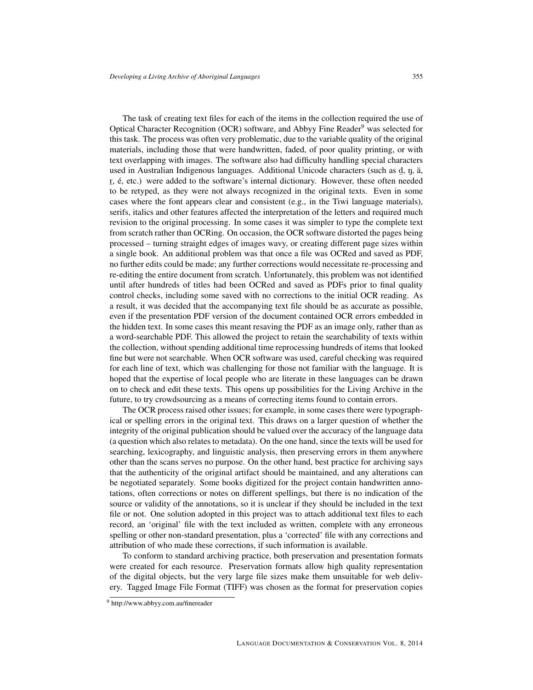The task of creating text files for each of the items in the collection required the use of Optical Character Recognition (OCR) software, and Abbyy Fine Reader<sup>[9](#page-0-0)</sup> was selected for this task. The process was often very problematic, due to the variable quality of the original materials, including those that were handwritten, faded, of poor quality printing, or with text overlapping with images. The software also had difficulty handling special characters used in Australian Indigenous languages. Additional Unicode characters (such as d, n, ä, recently in the continuum analysis of any angles of the software and the content of the software's internal dictionary. However, these often needed to be retyped, as they were not always recognized in the original texts. Even in some cases where the font appears clear and consistent (e.g., in the Tiwi language materials), serifs, italics and other features affected the interpretation of the letters and required much revision to the original processing. In some cases it was simpler to type the complete text from scratch rather than OCRing. On occasion, the OCR software distorted the pages being processed – turning straight edges of images wavy, or creating different page sizes within a single book. An additional problem was that once a file was OCRed and saved as PDF, no further edits could be made; any further corrections would necessitate re-processing and re-editing the entire document from scratch. Unfortunately, this problem was not identified until after hundreds of titles had been OCRed and saved as PDFs prior to final quality control checks, including some saved with no corrections to the initial OCR reading. As a result, it was decided that the accompanying text file should be as accurate as possible, even if the presentation PDF version of the document contained OCR errors embedded in the hidden text. In some cases this meant resaving the PDF as an image only, rather than as a word-searchable PDF. This allowed the project to retain the searchability of texts within the collection, without spending additional time reprocessing hundreds of items that looked fine but were not searchable. When OCR software was used, careful checking was required for each line of text, which was challenging for those not familiar with the language. It is hoped that the expertise of local people who are literate in these languages can be drawn on to check and edit these texts. This opens up possibilities for the Living Archive in the future, to try crowdsourcing as a means of correcting items found to contain errors.

The OCR process raised other issues; for example, in some cases there were typographical or spelling errors in the original text. This draws on a larger question of whether the integrity of the original publication should be valued over the accuracy of the language data (a question which also relates to metadata). On the one hand, since the texts will be used for searching, lexicography, and linguistic analysis, then preserving errors in them anywhere other than the scans serves no purpose. On the other hand, best practice for archiving says that the authenticity of the original artifact should be maintained, and any alterations can be negotiated separately. Some books digitized for the project contain handwritten annotations, often corrections or notes on different spellings, but there is no indication of the source or validity of the annotations, so it is unclear if they should be included in the text file or not. One solution adopted in this project was to attach additional text files to each record, an 'original' file with the text included as written, complete with any erroneous spelling or other non-standard presentation, plus a 'corrected' file with any corrections and attribution of who made these corrections, if such information is available.

To conform to standard archiving practice, both preservation and presentation formats were created for each resource. Preservation formats allow high quality representation of the digital objects, but the very large file sizes make them unsuitable for web delivery. Tagged Image File Format (TIFF) was chosen as the format for preservation copies

<sup>9</sup> <http://www.abbyy.com.au/finereader>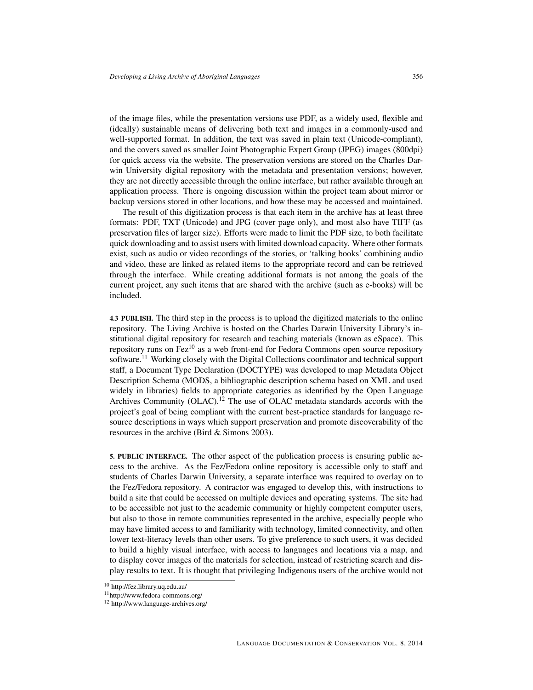of the image files, while the presentation versions use PDF, as a widely used, flexible and (ideally) sustainable means of delivering both text and images in a commonly-used and well-supported format. In addition, the text was saved in plain text (Unicode-compliant), and the covers saved as smaller Joint Photographic Expert Group (JPEG) images (800dpi) for quick access via the website. The preservation versions are stored on the Charles Darwin University digital repository with the metadata and presentation versions; however, they are not directly accessible through the online interface, but rather available through an application process. There is ongoing discussion within the project team about mirror or backup versions stored in other locations, and how these may be accessed and maintained.

The result of this digitization process is that each item in the archive has at least three formats: PDF, TXT (Unicode) and JPG (cover page only), and most also have TIFF (as preservation files of larger size). Efforts were made to limit the PDF size, to both facilitate quick downloading and to assist users with limited download capacity. Where other formats exist, such as audio or video recordings of the stories, or 'talking books' combining audio and video, these are linked as related items to the appropriate record and can be retrieved through the interface. While creating additional formats is not among the goals of the current project, any such items that are shared with the archive (such as e-books) will be included.

4.3 PUBLISH. The third step in the process is to upload the digitized materials to the online repository. The Living Archive is hosted on the Charles Darwin University Library's institutional digital repository for research and teaching materials (known as eSpace). This repository runs on Fez $^{10}$  $^{10}$  $^{10}$  as a web front-end for Fedora Commons open source repository software.<sup>[11](#page-0-0)</sup> Working closely with the Digital Collections coordinator and technical support staff, a Document Type Declaration (DOCTYPE) was developed to map Metadata Object Description Schema (MODS, a bibliographic description schema based on XML and used widely in libraries) fields to appropriate categories as identified by the Open Language Archives Community  $(OLAC)^{12}$  $(OLAC)^{12}$  $(OLAC)^{12}$  The use of  $OLAC$  metadata standards accords with the project's goal of being compliant with the current best-practice standards for language resource descriptions in ways which support preservation and promote discoverability of the resources in the archive (Bird & Simons 2003).

5. PUBLIC INTERFACE. The other aspect of the publication process is ensuring public access to the archive. As the Fez/Fedora online repository is accessible only to staff and students of Charles Darwin University, a separate interface was required to overlay on to the Fez/Fedora repository. A contractor was engaged to develop this, with instructions to build a site that could be accessed on multiple devices and operating systems. The site had to be accessible not just to the academic community or highly competent computer users, but also to those in remote communities represented in the archive, especially people who may have limited access to and familiarity with technology, limited connectivity, and often lower text-literacy levels than other users. To give preference to such users, it was decided to build a highly visual interface, with access to languages and locations via a map, and to display cover images of the materials for selection, instead of restricting search and display results to text. It is thought that privileging Indigenous users of the archive would not

<sup>10</sup> <http://fez.library.uq.edu.au/>

<sup>11</sup><http://www.fedora-commons.org/>

<sup>12</sup> <http://www.language-archives.org/>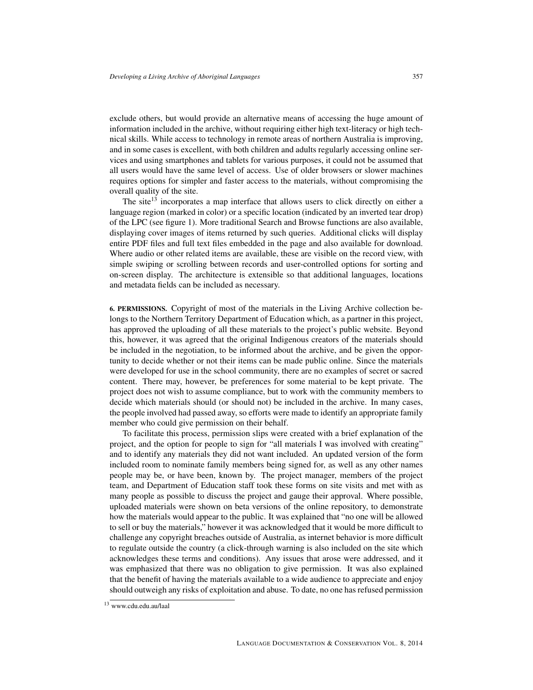exclude others, but would provide an alternative means of accessing the huge amount of information included in the archive, without requiring either high text-literacy or high technical skills. While access to technology in remote areas of northern Australia is improving, and in some cases is excellent, with both children and adults regularly accessing online services and using smartphones and tablets for various purposes, it could not be assumed that all users would have the same level of access. Use of older browsers or slower machines requires options for simpler and faster access to the materials, without compromising the overall quality of the site.

The site<sup>[13](#page-0-0)</sup> incorporates a map interface that allows users to click directly on either a language region (marked in color) or a specific location (indicated by an inverted tear drop) of the LPC (see figure 1). More traditional Search and Browse functions are also available, displaying cover images of items returned by such queries. Additional clicks will display entire PDF files and full text files embedded in the page and also available for download. Where audio or other related items are available, these are visible on the record view, with simple swiping or scrolling between records and user-controlled options for sorting and on-screen display. The architecture is extensible so that additional languages, locations and metadata fields can be included as necessary.

6. PERMISSIONS. Copyright of most of the materials in the Living Archive collection belongs to the Northern Territory Department of Education which, as a partner in this project, has approved the uploading of all these materials to the project's public website. Beyond this, however, it was agreed that the original Indigenous creators of the materials should be included in the negotiation, to be informed about the archive, and be given the opportunity to decide whether or not their items can be made public online. Since the materials were developed for use in the school community, there are no examples of secret or sacred content. There may, however, be preferences for some material to be kept private. The project does not wish to assume compliance, but to work with the community members to decide which materials should (or should not) be included in the archive. In many cases, the people involved had passed away, so efforts were made to identify an appropriate family member who could give permission on their behalf.

To facilitate this process, permission slips were created with a brief explanation of the project, and the option for people to sign for "all materials I was involved with creating" and to identify any materials they did not want included. An updated version of the form included room to nominate family members being signed for, as well as any other names people may be, or have been, known by. The project manager, members of the project team, and Department of Education staff took these forms on site visits and met with as many people as possible to discuss the project and gauge their approval. Where possible, uploaded materials were shown on beta versions of the online repository, to demonstrate how the materials would appear to the public. It was explained that "no one will be allowed to sell or buy the materials," however it was acknowledged that it would be more difficult to challenge any copyright breaches outside of Australia, as internet behavior is more difficult to regulate outside the country (a click-through warning is also included on the site which acknowledges these terms and conditions). Any issues that arose were addressed, and it was emphasized that there was no obligation to give permission. It was also explained that the benefit of having the materials available to a wide audience to appreciate and enjoy should outweigh any risks of exploitation and abuse. To date, no one has refused permission

<sup>13</sup> [www.cdu.edu.au/laal](#page-0-0)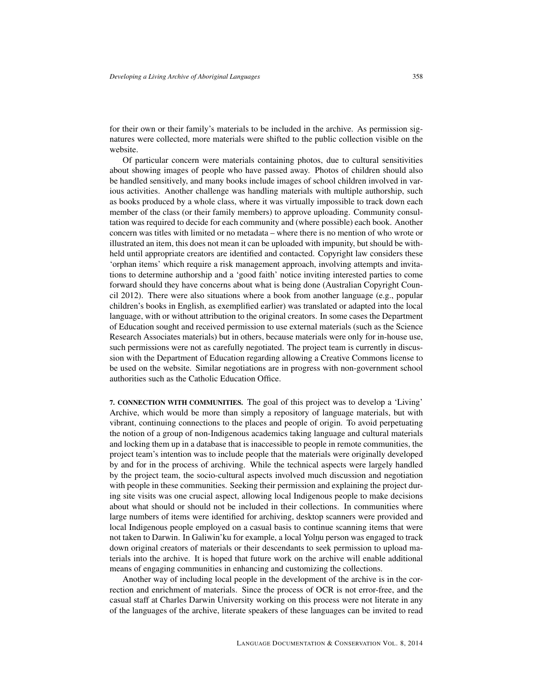for their own or their family's materials to be included in the archive. As permission signatures were collected, more materials were shifted to the public collection visible on the website.

Of particular concern were materials containing photos, due to cultural sensitivities about showing images of people who have passed away. Photos of children should also be handled sensitively, and many books include images of school children involved in various activities. Another challenge was handling materials with multiple authorship, such as books produced by a whole class, where it was virtually impossible to track down each member of the class (or their family members) to approve uploading. Community consultation was required to decide for each community and (where possible) each book. Another concern was titles with limited or no metadata – where there is no mention of who wrote or illustrated an item, this does not mean it can be uploaded with impunity, but should be withheld until appropriate creators are identified and contacted. Copyright law considers these 'orphan items' which require a risk management approach, involving attempts and invitations to determine authorship and a 'good faith' notice inviting interested parties to come forward should they have concerns about what is being done (Australian Copyright Council 2012). There were also situations where a book from another language (e.g., popular children's books in English, as exemplified earlier) was translated or adapted into the local language, with or without attribution to the original creators. In some cases the Department of Education sought and received permission to use external materials (such as the Science Research Associates materials) but in others, because materials were only for in-house use, such permissions were not as carefully negotiated. The project team is currently in discussion with the Department of Education regarding allowing a Creative Commons license to be used on the website. Similar negotiations are in progress with non-government school authorities such as the Catholic Education Office.

7. CONNECTION WITH COMMUNITIES. The goal of this project was to develop a 'Living' Archive, which would be more than simply a repository of language materials, but with vibrant, continuing connections to the places and people of origin. To avoid perpetuating the notion of a group of non-Indigenous academics taking language and cultural materials and locking them up in a database that is inaccessible to people in remote communities, the project team's intention was to include people that the materials were originally developed by and for in the process of archiving. While the technical aspects were largely handled by the project team, the socio-cultural aspects involved much discussion and negotiation with people in these communities. Seeking their permission and explaining the project during site visits was one crucial aspect, allowing local Indigenous people to make decisions about what should or should not be included in their collections. In communities where large numbers of items were identified for archiving, desktop scanners were provided and local Indigenous people employed on a casual basis to continue scanning items that were not taken to Darwin. In Galiwin'ku for example, a local Yolnu person was engaged to track down original creators of materials or their descendants to seek permission to upload materials into the archive. It is hoped that future work on the archive will enable additional means of engaging communities in enhancing and customizing the collections.

Another way of including local people in the development of the archive is in the correction and enrichment of materials. Since the process of OCR is not error-free, and the casual staff at Charles Darwin University working on this process were not literate in any of the languages of the archive, literate speakers of these languages can be invited to read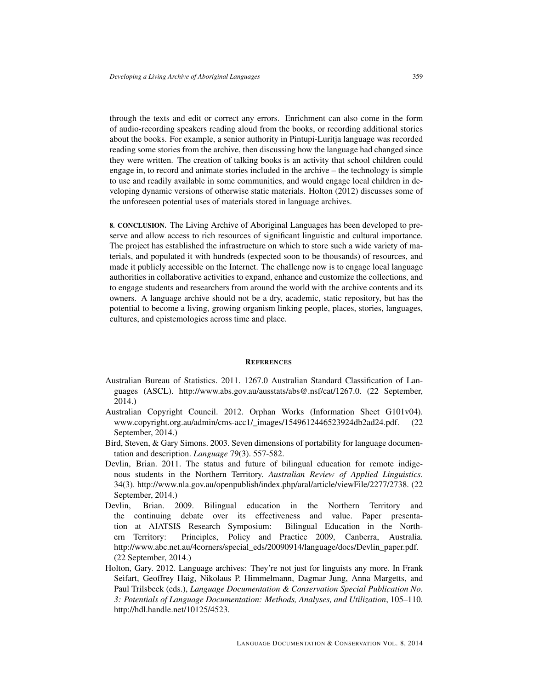through the texts and edit or correct any errors. Enrichment can also come in the form of audio-recording speakers reading aloud from the books, or recording additional stories about the books. For example, a senior authority in Pintupi-Luritja language was recorded reading some stories from the archive, then discussing how the language had changed since they were written. The creation of talking books is an activity that school children could engage in, to record and animate stories included in the archive – the technology is simple to use and readily available in some communities, and would engage local children in developing dynamic versions of otherwise static materials. Holton (2012) discusses some of the unforeseen potential uses of materials stored in language archives.

8. CONCLUSION. The Living Archive of Aboriginal Languages has been developed to preserve and allow access to rich resources of significant linguistic and cultural importance. The project has established the infrastructure on which to store such a wide variety of materials, and populated it with hundreds (expected soon to be thousands) of resources, and made it publicly accessible on the Internet. The challenge now is to engage local language authorities in collaborative activities to expand, enhance and customize the collections, and to engage students and researchers from around the world with the archive contents and its owners. A language archive should not be a dry, academic, static repository, but has the potential to become a living, growing organism linking people, places, stories, languages, cultures, and epistemologies across time and place.

## **REFERENCES**

- Australian Bureau of Statistics. 2011. 1267.0 Australian Standard Classification of Languages (ASCL). [http://www.abs.gov.au/ausstats/abs@.nsf/cat/1267.0.](http://www.abs.gov.au/ausstats/abs@.nsf/cat/1267.0) (22 September, 2014.)
- Australian Copyright Council. 2012. Orphan Works (Information Sheet G101v04). [www.copyright.org.au/admin/cms-acc1/\\_images/1549612446523924db2ad24.pdf.](#page-0-0) (22 September, 2014.)
- Bird, Steven, & Gary Simons. 2003. Seven dimensions of portability for language documentation and description. *Language* 79(3). 557-582.
- Devlin, Brian. 2011. The status and future of bilingual education for remote indigenous students in the Northern Territory. *Australian Review of Applied Linguistics*. 34(3). [http://www.nla.gov.au/openpublish/index.php/aral/article/viewFile/2277/2738.](http://www.nla.gov.au/openpublish/index.php/aral/article/viewFile/2277/2738) (22 September, 2014.)
- Devlin, Brian. 2009. Bilingual education in the Northern Territory and the continuing debate over its effectiveness and value. Paper presentation at AIATSIS Research Symposium: Bilingual Education in the Northern Territory: Principles, Policy and Practice 2009, Canberra, Australia. [http://www.abc.net.au/4corners/special\\_eds/20090914/language/docs/Devlin\\_paper.pdf.](http://www.abc.net.au/4corners/special_eds/20090914/language/docs/Devlin_paper.pdf) (22 September, 2014.)
- Holton, Gary. 2012. Language archives: They're not just for linguists any more. In Frank Seifart, Geoffrey Haig, Nikolaus P. Himmelmann, Dagmar Jung, Anna Margetts, and Paul Trilsbeek (eds.), *Language Documentation & Conservation Special Publication No. 3: Potentials of Language Documentation: Methods, Analyses, and Utilization*, 105–110. [http://hdl.handle.net/10125/4523.](http://hdl.handle.net/10125/4523)